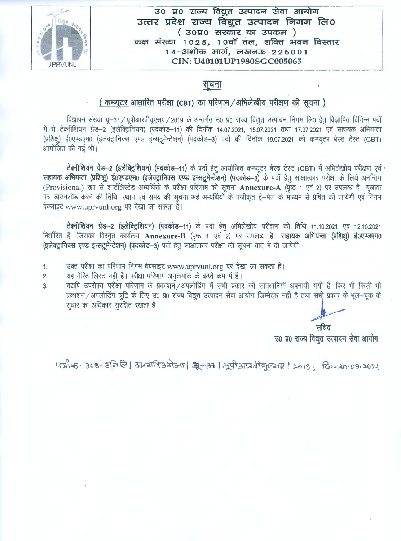

## उ० प्र० राज्य विद्युत उत्पादन सेवा आयोग **3m -2** ~~T **-21 Gi!I RJ ga 3c-Q IC: cit** ~ c> I **cA fR 0**  ( **30"Q"O -li-lcbl-l cJ5T 3Qq,cA** ) **cp~** *-l-i-&a* I **1 0 2** *5,* **1 0** *cff cTR, ~ITa'ff* **3-TcfG1" Rl =&1 1-l**  14-31शोक मार्ग, लखनऊ-226001 **CIN: U40101 UPl 980SGC005065**

# सूचना

# ( कम्प्यूटर आधारित परीक्षा (CBT) का परिणाम / अभिलेखीय परीक्षण की सूचना)

विज्ञापन संख्या यू-37 / यूपीआरवीयूएसए / 2019 के अन्तर्गत उ0 प्र0 राज्य विद्युत उत्पादन निगम लि0 हेतु विज्ञापित विभिन्न पदों में से टेक्नीशियन ग्रेड-2 (इलेक्ट्रिशियन) (पदकोड-11) की दिनॉक 14.07.2021, 15.07.2021 तथा 17.07.2021 एवं सहायक अभियन्ता में से टेक्नीशियन ग्रेड—2 (इलेक्ट्रिशियन) (पदकोड—11) की दिनॉक 14.07.2021, 15.07.2021 तथा 17.07.2021 एवं सहायक अभियन्ता<br>(प्रशिक्षु) ई०एण्डएम० (इलेक्ट्रानिक्स एण्ड इन्सट्रूमेन्टेशन) (पदकोड—3) पदों की दिनॉक 19.07.2021 को कम् (प्रशिक्षु) ई०एण्डएम0 (र<br>आयोजित की गई थी। echia and the set-name of the china formulation of the china formulation of the china formulation of the china<br>Partner of the china of the china of the test of the test of the china of the control of the control of the co

सहायक अभियन्ता (प्रशिक्षु) ई0एण्डएम0 (इलेक्ट्रानिक्स एण्ड इन्सट्रूमेन्टेशन) (पदकोड-3) के पदों हेतु साक्षात्कार परीक्षा के लिये अनन्तिम (Provisional) रूप से शार्टलिस्टेड अभ्यर्थियों के परीक्षा परिणाम की सूचना **Annexure-A** (पृष्ठ 1 एवं 2) पर उपलब्ध है। बुलावा पत्र डाउनलोड करने की तिथि, स्थान एवं समय की सूचना अर्ह अभ्यर्थियों के पंजीकृत ई—मेल के माध्यम से प्रेषित की जायेगी एवं निगम वेबसाइट www.uprvunl.org पर देखा जा सकता है।

टेक्नीशियन ग्रेड-2 (इलेक्ट्रिशियन) (पदकोड-11) के पदों हेतु अभिलेखीय परीक्षण की तिथि 11.10.2021 एवं 12.10.2021 निर्धारित है, जिसका विस्तृत कार्यक्रम Annexure-B (पृष्ठ 1 एवं 2) पर उपलब्ध है। सहायक अभियन्ता (प्रशिक्षु) ई0एण्डएम0 (इलेक्ट्रानिक्स एण्ड इन्सद्रूमेन्टेशन) (पदकोड-3) पदों हेतु साक्षात्कार परीक्षा की सूचना बाद में दी जायेगी।

- 1. उक्त परीक्षा का परिणाम निगम वेबसाइट www.uprvunl.org पर देखा जा सकता है।
- 2. यह मेरिट लिस्ट नही है। परीक्षा परिणाम अनुक्रमांक के बढ़ते क्रम में है।
- 3. व्यद्यपि उपरोक्त परीक्षा परिणाम के प्रकाशन/अपलोडिंग में सभी प्रकार की सावधानियाँ अपनायी गयी है, फिर भी किसी भी प्रकाशन/अपलोडिंग त्रुटि के लिए उ0 प्र0 राज्य विद्युत उत्पादन सेवा आयोग जिम्मेदार नही है तथा सभी प्रकार के भूल-न्यूक के सूधार का अधिकार सुरक्षित रखता है।

सचिव उ० प्र० राज्य विद्युत उत्पादन सेवा आयोग

पत्रीक- 368-3नि लि | उप्रचाविश्र सेठन | सूर-अन । मूपीआर्त्र तेयूएसए | 2019; दि. - 30.09.2021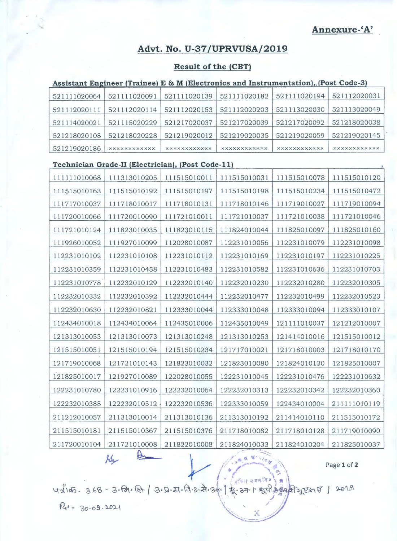**Annexure-'A'** 

# **Advt. No. U-37 /UPRVUSA/2019**

### **Result of the (CBT)**

### Assistant Engineer (Trainee) E & M (Electronics and Instrumentation), (Post Code-3)

| 521111020064 | 521111020091        | 521111020139         | 521111020182        | 521111020194        | 521112020031        |
|--------------|---------------------|----------------------|---------------------|---------------------|---------------------|
| 521112020111 | 521112020114        | 521112020153         | 521112020203        | 521113020030        | 521113020049        |
| 521114020021 | 521115020229        | 521217020037         | 521217020039        | 521217020092        | 521218020038        |
| 521218020108 | 521218020228        | 521219020012         | 521219020035        | 521219020059        | 521219020145        |
| 521219020186 | <b>XXXXXXXXXXXX</b> | <b>XXXXXXXXXXXXX</b> | <b>XXXXXXXXXXXX</b> | <b>XXXXXXXXXXXX</b> | <b>XXXXXXXXXXXX</b> |

#### **Technician Grade-II {Electrician}, {Post Code-lll**

| Technician Grade-II (Electrician), (Post Code-II) |              |              |              |              |                |  |
|---------------------------------------------------|--------------|--------------|--------------|--------------|----------------|--|
| 111111010068                                      | 111313010205 | 111515010011 | 111515010031 | 111515010078 | 111515010120   |  |
| 111515010163                                      | 111515010192 | 111515010197 | 111515010198 | 111515010234 | 111515010472   |  |
| 111717010037                                      | 111718010017 | 111718010131 | 111718010146 | 111719010027 | 111719010094   |  |
| 111720010066                                      | 111720010090 | 111721010011 | 111721010037 | 111721010038 | 111721010046   |  |
| 111721010124                                      | 111823010035 | 111823010115 | 111824010044 | 111825010097 | 111825010160   |  |
| 111926010052                                      | 111927010099 | 112028010087 | 112231010056 | 112231010079 | 112231010098   |  |
| 112231010102                                      | 112231010108 | 112231010112 | 112231010169 | 112231010197 | 112231010225   |  |
| 112231010359                                      | 112231010458 | 112231010483 | 112231010582 | 112231010636 | 112231010703   |  |
| 112231010778                                      | 112232010129 | 112232010140 | 112232010230 | 112232010280 | 112232010305   |  |
| 112232010332                                      | 112232010392 | 112232010444 | 112232010477 | 112232010499 | 112232010523   |  |
| 112232010630                                      | 112232010821 | 112333010044 | 112333010048 | 112333010094 | 112333010107   |  |
| 112434010018                                      | 112434010064 | 112435010006 | 112435010049 | 121111010037 | 121212010007   |  |
| 121313010053                                      | 121313010073 | 121313010248 | 121313010253 | 121414010016 | 121515010012   |  |
| 121515010051                                      | 121515010194 | 121515010234 | 121717010021 | 121718010003 | 121718010170   |  |
| 121719010068                                      | 121721010143 | 121823010032 | 121823010080 | 121824010130 | 121825010007   |  |
| 121825010017                                      | 121927010089 | 122028010055 | 122231010045 | 122231010476 | 122231010632   |  |
| 122231010780                                      | 122231010916 | 122232010064 | 122232010313 | 122232010342 | 122232010360   |  |
| 122232010388                                      | 122232010512 | 122232010536 | 122333010059 | 122434010004 | 211111010119   |  |
| 211212010057                                      | 211313010014 | 211313010136 | 211313010192 | 211414010110 | 211515010172   |  |
| 211515010181                                      | 211515010367 | 211515010376 | 211718010082 | 211718010128 | 211719010090   |  |
| 211720010104                                      | 211721010008 | 211822010008 | 211824010033 | 211824010204 | 211825010037   |  |
|                                                   | Ke           |              |              |              | $P2q01$ of $2$ |  |

Page **1** of **2** 

47165-368-3. जि. जि. / 3. प्र. प्र. वि. 2. से. 2011 मुणी अब मित्रुए राज्य । 2019

भनित अवनवि

 $R_0 - 30.09.2021$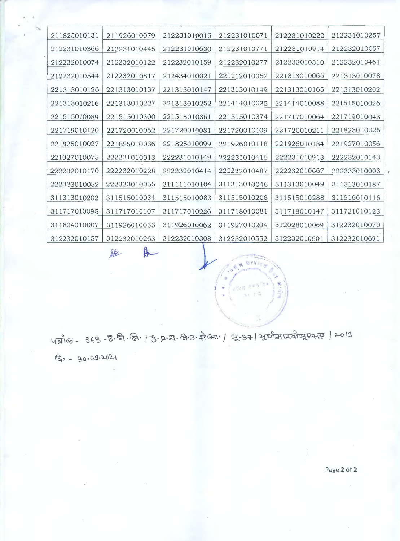| 211825010131 | 211926010079 | 212231010015 | 212231010071 | 212231010222 | 212231010257 |
|--------------|--------------|--------------|--------------|--------------|--------------|
| 212231010366 | 212231010445 | 212231010630 | 212231010771 | 212231010914 | 212232010057 |
| 212232010074 | 212232010122 | 212232010159 | 212232010277 | 212232010310 | 212232010461 |
| 212232010544 | 212232010817 | 212434010021 | 221212010052 | 221313010065 | 221313010078 |
| 221313010126 | 221313010137 | 221313010147 | 221313010149 | 221313010165 | 221313010202 |
| 221313010216 | 221313010227 | 221313010252 | 221414010035 | 221414010088 | 221515010026 |
| 221515010089 | 221515010300 | 221515010361 | 221515010374 | 221717010064 | 221719010043 |
| 221719010120 | 221720010052 | 221720010081 | 221720010109 | 221720010211 | 221823010026 |
| 221825010027 | 221825010036 | 221825010099 | 221926010118 | 221926010184 | 221927010056 |
| 221927010075 | 222231010013 | 222231010149 | 222231010416 | 222231010913 | 222232010143 |
| 222232010170 | 222232010228 | 222232010414 | 222232010487 | 222232010667 | 222333010003 |
| 222333010052 | 222333010055 | 311111010104 | 311313010046 | 311313010049 | 311313010187 |
| 311313010202 | 311515010034 | 311515010083 | 311515010208 | 311515010288 | 311616010116 |
| 311717010095 | 311717010107 | 311717010226 | 311718010081 | 311718010147 | 311721010123 |
| 311824010007 | 311926010033 | 311926010062 | 311927010204 | 312028010069 | 312232010070 |
| 312232010157 | 312232010263 | 312232010308 | 312232010552 | 312232010601 | 312232010691 |

8 914

often neaths 当たつ前

4 2105 - 368 - 3. नि. लि. | 3. प्र. या. वि. उ. से अग / म्रू. 27 | मूर्यास म्यान्यू एसए / 2019

 $R_{0}$  - 30.09.2021

fe

Page 2 of 2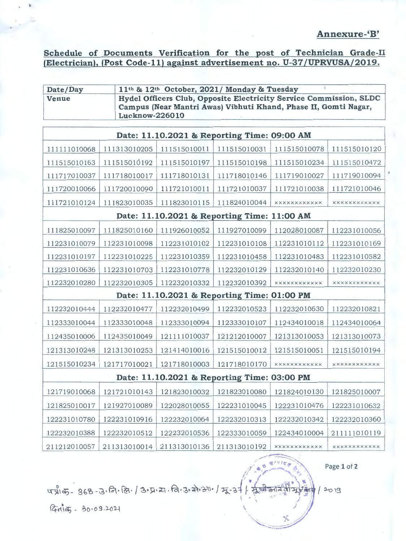### **Annexure-'B'**

### **Schedule of Documents Verification for the post of Technician Grade-II (Electrician), (Post Code-11) against advertisement no. U-37 /UPRVUSA/2019.**

| 11 <sup>th</sup> & 12 <sup>th</sup> October, 2021/ Monday & Tuesday<br>Date/Day                                                                                  |              |              |              |                     |                     |  |
|------------------------------------------------------------------------------------------------------------------------------------------------------------------|--------------|--------------|--------------|---------------------|---------------------|--|
| Hydel Officers Club, Opposite Electricity Service Commission, SLDC<br>Venue<br>Campus (Near Mantri Awas) Vibhuti Khand, Phase II, Gomti Nagar,<br>Lucknow-226010 |              |              |              |                     |                     |  |
| Date: 11.10.2021 & Reporting Time: 09:00 AM                                                                                                                      |              |              |              |                     |                     |  |
|                                                                                                                                                                  |              |              |              |                     |                     |  |
| 111111010068                                                                                                                                                     | 111313010205 | 111515010011 | 111515010031 | 111515010078        | 111515010120        |  |
| 111515010163                                                                                                                                                     | 111515010192 | 111515010197 | 111515010198 | 111515010234        | 111515010472        |  |
| 111717010037                                                                                                                                                     | 111718010017 | 111718010131 | 111718010146 | 111719010027        | 111719010094        |  |
| 111720010066                                                                                                                                                     | 111720010090 | 111721010011 | 111721010037 | 111721010038        | 111721010046        |  |
| 111721010124                                                                                                                                                     | 111823010035 | 111823010115 | 111824010044 | <b>XXXXXXXXXXXX</b> | <b>XXXXXXXXXXXX</b> |  |
| Date: 11.10.2021 & Reporting Time: 11:00 AM                                                                                                                      |              |              |              |                     |                     |  |
| 111825010097                                                                                                                                                     | 111825010160 | 111926010052 | 111927010099 | 112028010087        | 112231010056        |  |
| 112231010079                                                                                                                                                     | 112231010098 | 112231010102 | 112231010108 | 112231010112        | 112231010169        |  |
| 112231010197                                                                                                                                                     | 112231010225 | 112231010359 | 112231010458 | 112231010483        | 112231010582        |  |
| 112231010636                                                                                                                                                     | 112231010703 | 112231010778 | 112232010129 | 112232010140        | 112232010230        |  |
| 112232010280                                                                                                                                                     | 112232010305 | 112232010332 | 112232010392 | <b>XXXXXXXXXXXX</b> | <b>XXXXXXXXXXXX</b> |  |
| Date: 11.10.2021 & Reporting Time: 01:00 PM                                                                                                                      |              |              |              |                     |                     |  |
| 112232010444                                                                                                                                                     | 112232010477 | 112232010499 | 112232010523 | 112232010630        | 112232010821        |  |
| 112333010044                                                                                                                                                     | 112333010048 | 112333010094 | 112333010107 | 112434010018        | 112434010064        |  |
| 112435010006                                                                                                                                                     | 112435010049 | 121111010037 | 121212010007 | 121313010053        | 121313010073        |  |
| 121313010248                                                                                                                                                     | 121313010253 | 121414010016 | 121515010012 | 121515010051        | 121515010194        |  |
| 121515010234                                                                                                                                                     | 121717010021 | 121718010003 | 121718010170 | <b>XXXXXXXXXXXX</b> | <b>XXXXXXXXXXXX</b> |  |
| Date: 11.10.2021 & Reporting Time: 03:00 PM                                                                                                                      |              |              |              |                     |                     |  |
| 121719010068                                                                                                                                                     | 121721010143 | 121823010032 | 121823010080 | 121824010130        | 121825010007        |  |
| 121825010017                                                                                                                                                     | 121927010089 | 122028010055 | 122231010045 | 122231010476        | 122231010632        |  |
| 122231010780                                                                                                                                                     | 122231010916 | 122232010064 | 122232010313 | 122232010342        | 122232010360        |  |
| 122232010388                                                                                                                                                     | 122232010512 | 122232010536 | 122333010059 | 122434010004        | 211111010119        |  |
| 211212010057                                                                                                                                                     | 211313010014 | 211313010136 | 211313010192 | <b>xxxxxxxxxxxx</b> | <b>xxxxxxxxxxxx</b> |  |

Page **1 of 2** 

**Brutes** 

पत्री क- 368-3. नि. लि. / 3. प्र. य. नि. 3. मे. 37. / मू-3 + / मूजी आर्वेसी  $12019$ 

Restletz - 30.09.2021

**t**